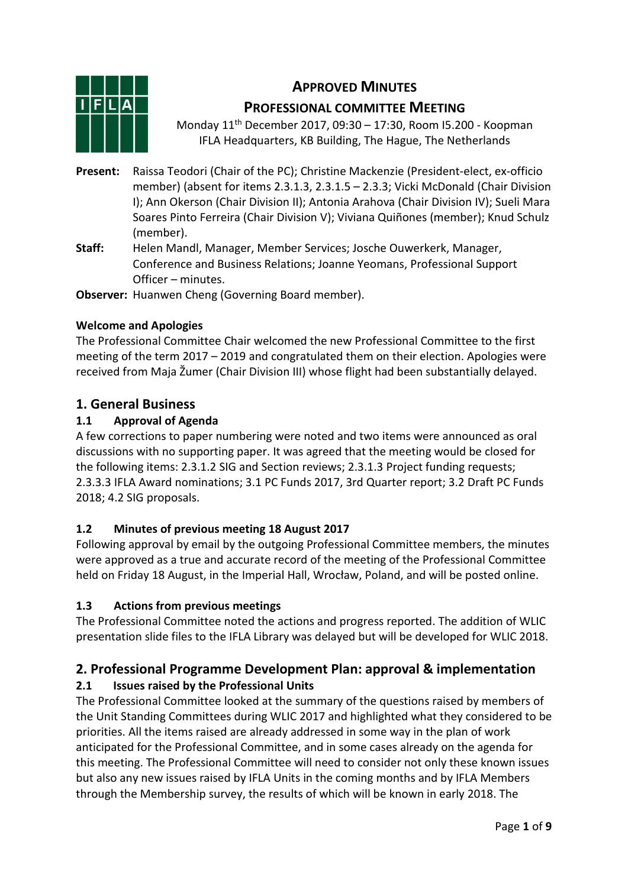# **APPROVED MINUTES**



# **PROFESSIONAL COMMITTEE MEETING**

Monday 11th December 2017, 09:30 – 17:30, Room I5.200 - Koopman IFLA Headquarters, KB Building, The Hague, The Netherlands

- **Present:** Raissa Teodori (Chair of the PC); Christine Mackenzie (President-elect, ex-officio member) (absent for items 2.3.1.3, 2.3.1.5 – 2.3.3; Vicki McDonald (Chair Division I); Ann Okerson (Chair Division II); Antonia Arahova (Chair Division IV); Sueli Mara Soares Pinto Ferreira (Chair Division V); Viviana Quiñones (member); Knud Schulz (member).
- **Staff:** Helen Mandl, Manager, Member Services; Josche Ouwerkerk, Manager, Conference and Business Relations; Joanne Yeomans, Professional Support Officer – minutes.

**Observer:** Huanwen Cheng (Governing Board member).

### **Welcome and Apologies**

The Professional Committee Chair welcomed the new Professional Committee to the first meeting of the term 2017 – 2019 and congratulated them on their election. Apologies were received from Maja Žumer (Chair Division III) whose flight had been substantially delayed.

## **1. General Business**

### **1.1 Approval of Agenda**

A few corrections to paper numbering were noted and two items were announced as oral discussions with no supporting paper. It was agreed that the meeting would be closed for the following items: 2.3.1.2 SIG and Section reviews; 2.3.1.3 Project funding requests; 2.3.3.3 IFLA Award nominations; 3.1 PC Funds 2017, 3rd Quarter report; 3.2 Draft PC Funds 2018; 4.2 SIG proposals.

## **1.2 Minutes of previous meeting 18 August 2017**

Following approval by email by the outgoing Professional Committee members, the minutes were approved as a true and accurate record of the meeting of the Professional Committee held on Friday 18 August, in the Imperial Hall, Wrocław, Poland, and will be posted online.

## **1.3 Actions from previous meetings**

The Professional Committee noted the actions and progress reported. The addition of WLIC presentation slide files to the IFLA Library was delayed but will be developed for WLIC 2018.

# **2. Professional Programme Development Plan: approval & implementation**

## **2.1 Issues raised by the Professional Units**

The Professional Committee looked at the summary of the questions raised by members of the Unit Standing Committees during WLIC 2017 and highlighted what they considered to be priorities. All the items raised are already addressed in some way in the plan of work anticipated for the Professional Committee, and in some cases already on the agenda for this meeting. The Professional Committee will need to consider not only these known issues but also any new issues raised by IFLA Units in the coming months and by IFLA Members through the Membership survey, the results of which will be known in early 2018. The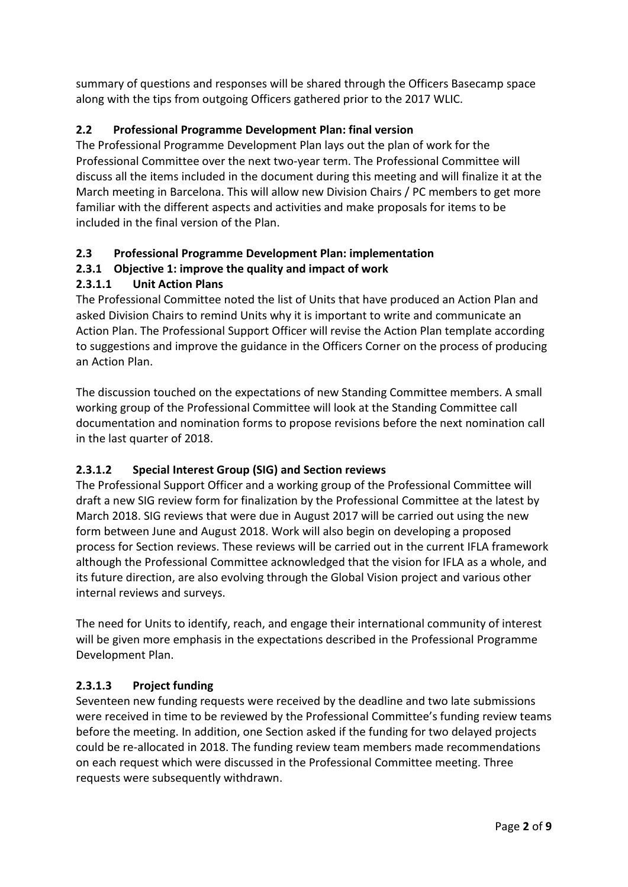summary of questions and responses will be shared through the Officers Basecamp space along with the tips from outgoing Officers gathered prior to the 2017 WLIC.

### **2.2 Professional Programme Development Plan: final version**

The Professional Programme Development Plan lays out the plan of work for the Professional Committee over the next two-year term. The Professional Committee will discuss all the items included in the document during this meeting and will finalize it at the March meeting in Barcelona. This will allow new Division Chairs / PC members to get more familiar with the different aspects and activities and make proposals for items to be included in the final version of the Plan.

### **2.3 Professional Programme Development Plan: implementation**

### **2.3.1 Objective 1: improve the quality and impact of work**

### **2.3.1.1 Unit Action Plans**

The Professional Committee noted the list of Units that have produced an Action Plan and asked Division Chairs to remind Units why it is important to write and communicate an Action Plan. The Professional Support Officer will revise the Action Plan template according to suggestions and improve the guidance in the Officers Corner on the process of producing an Action Plan.

The discussion touched on the expectations of new Standing Committee members. A small working group of the Professional Committee will look at the Standing Committee call documentation and nomination forms to propose revisions before the next nomination call in the last quarter of 2018.

## **2.3.1.2 Special Interest Group (SIG) and Section reviews**

The Professional Support Officer and a working group of the Professional Committee will draft a new SIG review form for finalization by the Professional Committee at the latest by March 2018. SIG reviews that were due in August 2017 will be carried out using the new form between June and August 2018. Work will also begin on developing a proposed process for Section reviews. These reviews will be carried out in the current IFLA framework although the Professional Committee acknowledged that the vision for IFLA as a whole, and its future direction, are also evolving through the Global Vision project and various other internal reviews and surveys.

The need for Units to identify, reach, and engage their international community of interest will be given more emphasis in the expectations described in the Professional Programme Development Plan.

### **2.3.1.3 Project funding**

Seventeen new funding requests were received by the deadline and two late submissions were received in time to be reviewed by the Professional Committee's funding review teams before the meeting. In addition, one Section asked if the funding for two delayed projects could be re-allocated in 2018. The funding review team members made recommendations on each request which were discussed in the Professional Committee meeting. Three requests were subsequently withdrawn.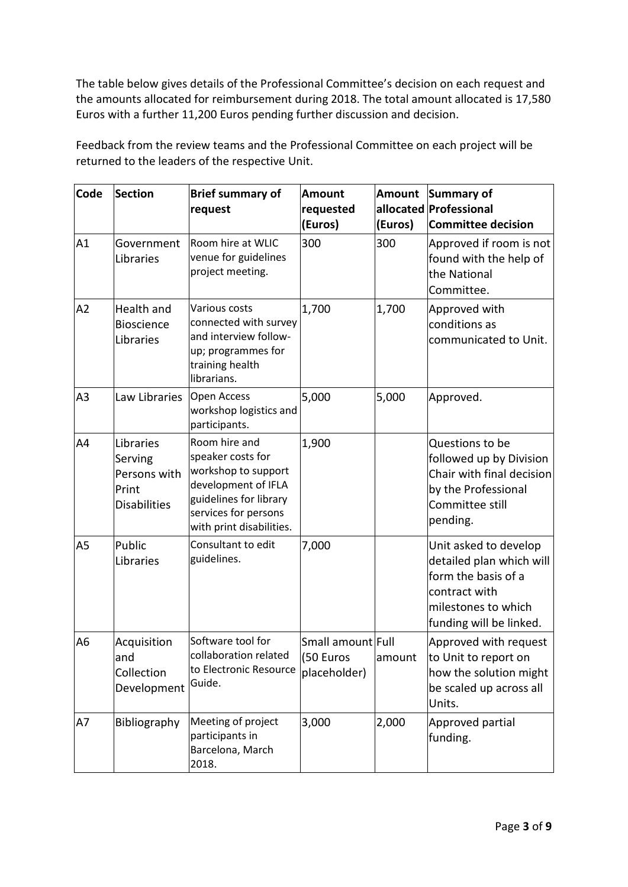The table below gives details of the Professional Committee's decision on each request and the amounts allocated for reimbursement during 2018. The total amount allocated is 17,580 Euros with a further 11,200 Euros pending further discussion and decision.

Feedback from the review teams and the Professional Committee on each project will be returned to the leaders of the respective Unit.

| Code           | <b>Section</b>                                                       | <b>Brief summary of</b><br>request                                                                                                                             | <b>Amount</b><br>requested<br>(Euros)          | Amount<br>(Euros) | Summary of<br>allocated Professional<br><b>Committee decision</b>                                                                           |
|----------------|----------------------------------------------------------------------|----------------------------------------------------------------------------------------------------------------------------------------------------------------|------------------------------------------------|-------------------|---------------------------------------------------------------------------------------------------------------------------------------------|
| A1             | Government<br>Libraries                                              | Room hire at WLIC<br>venue for guidelines<br>project meeting.                                                                                                  | 300                                            | 300               | Approved if room is not<br>found with the help of<br>the National<br>Committee.                                                             |
| A2             | Health and<br><b>Bioscience</b><br>Libraries                         | Various costs<br>connected with survey<br>and interview follow-<br>up; programmes for<br>training health<br>librarians.                                        | 1,700                                          | 1,700             | Approved with<br>conditions as<br>communicated to Unit.                                                                                     |
| A <sub>3</sub> | Law Libraries                                                        | Open Access<br>workshop logistics and<br>participants.                                                                                                         | 5,000                                          | 5,000             | Approved.                                                                                                                                   |
| A4             | Libraries<br>Serving<br>Persons with<br>Print<br><b>Disabilities</b> | Room hire and<br>speaker costs for<br>workshop to support<br>development of IFLA<br>guidelines for library<br>services for persons<br>with print disabilities. | 1,900                                          |                   | Questions to be<br>followed up by Division<br>Chair with final decision<br>by the Professional<br>Committee still<br>pending.               |
| A <sub>5</sub> | Public<br>Libraries                                                  | Consultant to edit<br>guidelines.                                                                                                                              | 7,000                                          |                   | Unit asked to develop<br>detailed plan which will<br>form the basis of a<br>contract with<br>milestones to which<br>funding will be linked. |
| A <sub>6</sub> | Acquisition<br>and<br>Collection<br>Development                      | Software tool for<br>collaboration related<br>to Electronic Resource<br>Guide.                                                                                 | Small amount Full<br>(50 Euros<br>placeholder) | amount            | Approved with request<br>to Unit to report on<br>how the solution might<br>be scaled up across all<br>Units.                                |
| A7             | Bibliography                                                         | Meeting of project<br>participants in<br>Barcelona, March<br>2018.                                                                                             | 3,000                                          | 2,000             | Approved partial<br>funding.                                                                                                                |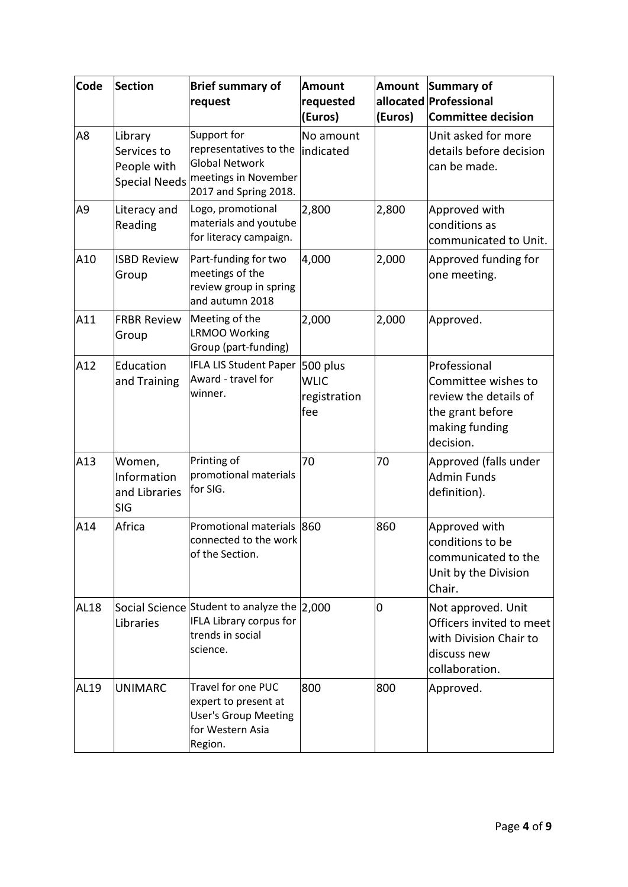| Code           | <b>Section</b>                                                | <b>Brief summary of</b><br>request                                                                              | <b>Amount</b><br>requested<br>(Euros)          | Amount<br>(Euros) | Summary of<br>allocated Professional<br><b>Committee decision</b>                                               |
|----------------|---------------------------------------------------------------|-----------------------------------------------------------------------------------------------------------------|------------------------------------------------|-------------------|-----------------------------------------------------------------------------------------------------------------|
| A <sub>8</sub> | Library<br>Services to<br>People with<br><b>Special Needs</b> | Support for<br>representatives to the<br><b>Global Network</b><br>meetings in November<br>2017 and Spring 2018. | No amount<br>indicated                         |                   | Unit asked for more<br>details before decision<br>can be made.                                                  |
| A <sub>9</sub> | Literacy and<br>Reading                                       | Logo, promotional<br>materials and youtube<br>for literacy campaign.                                            | 2,800                                          | 2,800             | Approved with<br>conditions as<br>communicated to Unit.                                                         |
| A10            | <b>ISBD Review</b><br>Group                                   | Part-funding for two<br>meetings of the<br>review group in spring<br>and autumn 2018                            | 4,000                                          | 2,000             | Approved funding for<br>one meeting.                                                                            |
| A11            | <b>FRBR Review</b><br>Group                                   | Meeting of the<br><b>LRMOO Working</b><br>Group (part-funding)                                                  | 2,000                                          | 2,000             | Approved.                                                                                                       |
| A12            | Education<br>and Training                                     | <b>IFLA LIS Student Paper</b><br>Award - travel for<br>winner.                                                  | 500 plus<br><b>WLIC</b><br>registration<br>fee |                   | Professional<br>Committee wishes to<br>review the details of<br>the grant before<br>making funding<br>decision. |
| A13            | Women,<br>Information<br>and Libraries<br><b>SIG</b>          | Printing of<br>promotional materials<br>for SIG.                                                                | 70                                             | 70                | Approved (falls under<br><b>Admin Funds</b><br>definition).                                                     |
| A14            | Africa                                                        | Promotional materials 860<br>connected to the work<br>of the Section.                                           |                                                | 860               | Approved with<br>conditions to be<br>communicated to the<br>Unit by the Division<br>Chair.                      |
| AL18           | Libraries                                                     | Social Science Student to analyze the 2,000<br>IFLA Library corpus for<br>trends in social<br>science.          |                                                | 0                 | Not approved. Unit<br>Officers invited to meet<br>with Division Chair to<br>discuss new<br>collaboration.       |
| AL19           | <b>UNIMARC</b>                                                | <b>Travel for one PUC</b><br>expert to present at<br><b>User's Group Meeting</b><br>for Western Asia<br>Region. | 800                                            | 800               | Approved.                                                                                                       |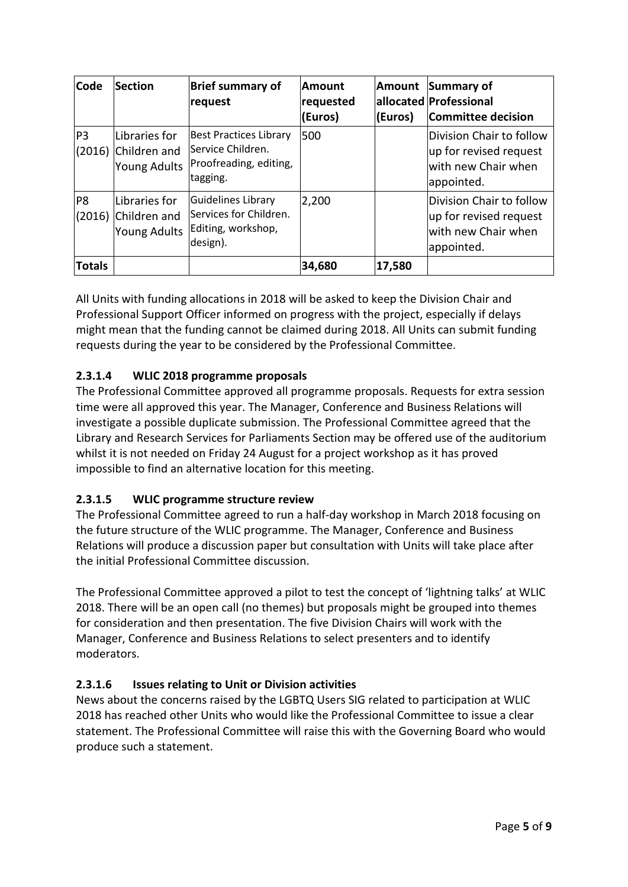| Code           | <b>Section</b>                                       | <b>Brief summary of</b><br>request                                                       | <b>Amount</b><br>requested<br>(Euros) | Amount<br>(Euros) | Summary of<br>allocated Professional<br><b>Committee decision</b>                       |
|----------------|------------------------------------------------------|------------------------------------------------------------------------------------------|---------------------------------------|-------------------|-----------------------------------------------------------------------------------------|
| P <sub>3</sub> | Libraries for<br>(2016) Children and<br>Young Adults | <b>Best Practices Library</b><br>Service Children.<br>Proofreading, editing,<br>tagging. | 500                                   |                   | Division Chair to follow<br>up for revised request<br>with new Chair when<br>appointed. |
| P <sub>8</sub> | Libraries for<br>(2016) Children and<br>Young Adults | Guidelines Library<br>Services for Children.<br>Editing, workshop,<br>design).           | 2,200                                 |                   | Division Chair to follow<br>up for revised request<br>with new Chair when<br>appointed. |
| <b>Totals</b>  |                                                      |                                                                                          | 34,680                                | 17,580            |                                                                                         |

All Units with funding allocations in 2018 will be asked to keep the Division Chair and Professional Support Officer informed on progress with the project, especially if delays might mean that the funding cannot be claimed during 2018. All Units can submit funding requests during the year to be considered by the Professional Committee.

# **2.3.1.4 WLIC 2018 programme proposals**

The Professional Committee approved all programme proposals. Requests for extra session time were all approved this year. The Manager, Conference and Business Relations will investigate a possible duplicate submission. The Professional Committee agreed that the Library and Research Services for Parliaments Section may be offered use of the auditorium whilst it is not needed on Friday 24 August for a project workshop as it has proved impossible to find an alternative location for this meeting.

## **2.3.1.5 WLIC programme structure review**

The Professional Committee agreed to run a half-day workshop in March 2018 focusing on the future structure of the WLIC programme. The Manager, Conference and Business Relations will produce a discussion paper but consultation with Units will take place after the initial Professional Committee discussion.

The Professional Committee approved a pilot to test the concept of 'lightning talks' at WLIC 2018. There will be an open call (no themes) but proposals might be grouped into themes for consideration and then presentation. The five Division Chairs will work with the Manager, Conference and Business Relations to select presenters and to identify moderators.

## **2.3.1.6 Issues relating to Unit or Division activities**

News about the concerns raised by the LGBTQ Users SIG related to participation at WLIC 2018 has reached other Units who would like the Professional Committee to issue a clear statement. The Professional Committee will raise this with the Governing Board who would produce such a statement.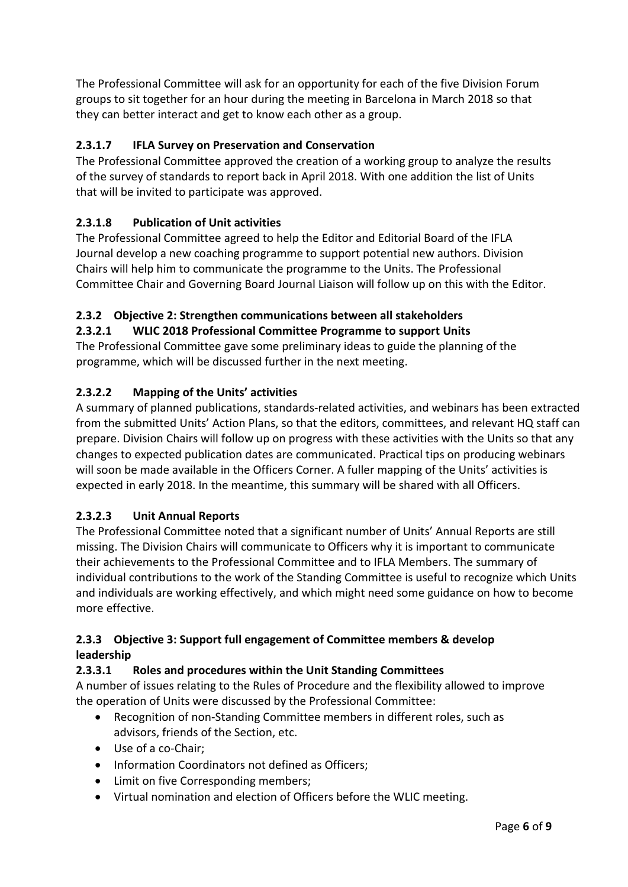The Professional Committee will ask for an opportunity for each of the five Division Forum groups to sit together for an hour during the meeting in Barcelona in March 2018 so that they can better interact and get to know each other as a group.

# **2.3.1.7 IFLA Survey on Preservation and Conservation**

The Professional Committee approved the creation of a working group to analyze the results of the survey of standards to report back in April 2018. With one addition the list of Units that will be invited to participate was approved.

## **2.3.1.8 Publication of Unit activities**

The Professional Committee agreed to help the Editor and Editorial Board of the IFLA Journal develop a new coaching programme to support potential new authors. Division Chairs will help him to communicate the programme to the Units. The Professional Committee Chair and Governing Board Journal Liaison will follow up on this with the Editor.

## **2.3.2 Objective 2: Strengthen communications between all stakeholders**

### **2.3.2.1 WLIC 2018 Professional Committee Programme to support Units**

The Professional Committee gave some preliminary ideas to guide the planning of the programme, which will be discussed further in the next meeting.

### **2.3.2.2 Mapping of the Units' activities**

A summary of planned publications, standards-related activities, and webinars has been extracted from the submitted Units' Action Plans, so that the editors, committees, and relevant HQ staff can prepare. Division Chairs will follow up on progress with these activities with the Units so that any changes to expected publication dates are communicated. Practical tips on producing webinars will soon be made available in the Officers Corner. A fuller mapping of the Units' activities is expected in early 2018. In the meantime, this summary will be shared with all Officers.

## **2.3.2.3 Unit Annual Reports**

The Professional Committee noted that a significant number of Units' Annual Reports are still missing. The Division Chairs will communicate to Officers why it is important to communicate their achievements to the Professional Committee and to IFLA Members. The summary of individual contributions to the work of the Standing Committee is useful to recognize which Units and individuals are working effectively, and which might need some guidance on how to become more effective.

### **2.3.3 Objective 3: Support full engagement of Committee members & develop leadership**

### **2.3.3.1 Roles and procedures within the Unit Standing Committees**

A number of issues relating to the Rules of Procedure and the flexibility allowed to improve the operation of Units were discussed by the Professional Committee:

- Recognition of non-Standing Committee members in different roles, such as advisors, friends of the Section, etc.
- Use of a co-Chair;
- Information Coordinators not defined as Officers;
- Limit on five Corresponding members;
- Virtual nomination and election of Officers before the WLIC meeting.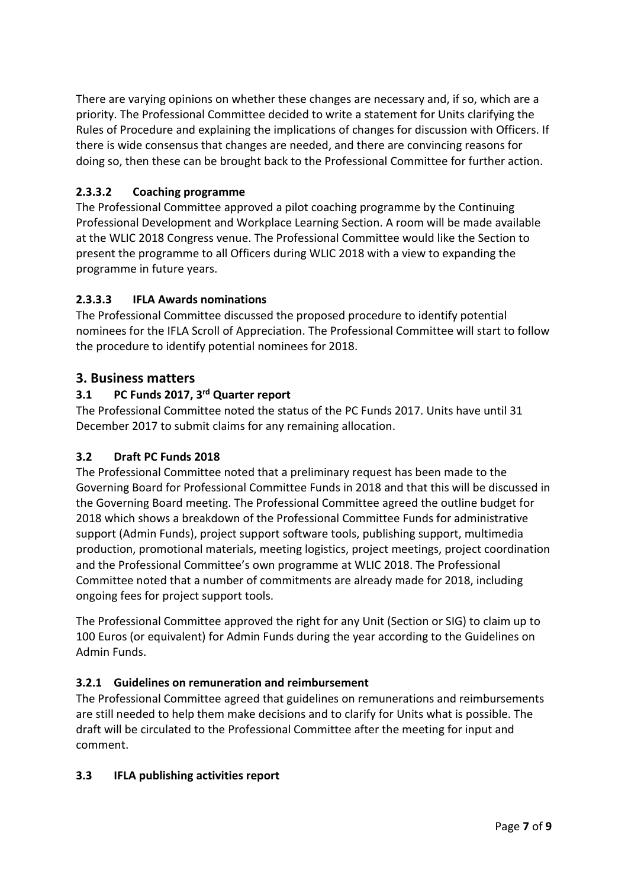There are varying opinions on whether these changes are necessary and, if so, which are a priority. The Professional Committee decided to write a statement for Units clarifying the Rules of Procedure and explaining the implications of changes for discussion with Officers. If there is wide consensus that changes are needed, and there are convincing reasons for doing so, then these can be brought back to the Professional Committee for further action.

## **2.3.3.2 Coaching programme**

The Professional Committee approved a pilot coaching programme by the Continuing Professional Development and Workplace Learning Section. A room will be made available at the WLIC 2018 Congress venue. The Professional Committee would like the Section to present the programme to all Officers during WLIC 2018 with a view to expanding the programme in future years.

### **2.3.3.3 IFLA Awards nominations**

The Professional Committee discussed the proposed procedure to identify potential nominees for the IFLA Scroll of Appreciation. The Professional Committee will start to follow the procedure to identify potential nominees for 2018.

### **3. Business matters**

### **3.1 PC Funds 2017, 3rd Quarter report**

The Professional Committee noted the status of the PC Funds 2017. Units have until 31 December 2017 to submit claims for any remaining allocation.

### **3.2 Draft PC Funds 2018**

The Professional Committee noted that a preliminary request has been made to the Governing Board for Professional Committee Funds in 2018 and that this will be discussed in the Governing Board meeting. The Professional Committee agreed the outline budget for 2018 which shows a breakdown of the Professional Committee Funds for administrative support (Admin Funds), project support software tools, publishing support, multimedia production, promotional materials, meeting logistics, project meetings, project coordination and the Professional Committee's own programme at WLIC 2018. The Professional Committee noted that a number of commitments are already made for 2018, including ongoing fees for project support tools.

The Professional Committee approved the right for any Unit (Section or SIG) to claim up to 100 Euros (or equivalent) for Admin Funds during the year according to the Guidelines on Admin Funds.

### **3.2.1 Guidelines on remuneration and reimbursement**

The Professional Committee agreed that guidelines on remunerations and reimbursements are still needed to help them make decisions and to clarify for Units what is possible. The draft will be circulated to the Professional Committee after the meeting for input and comment.

### **3.3 IFLA publishing activities report**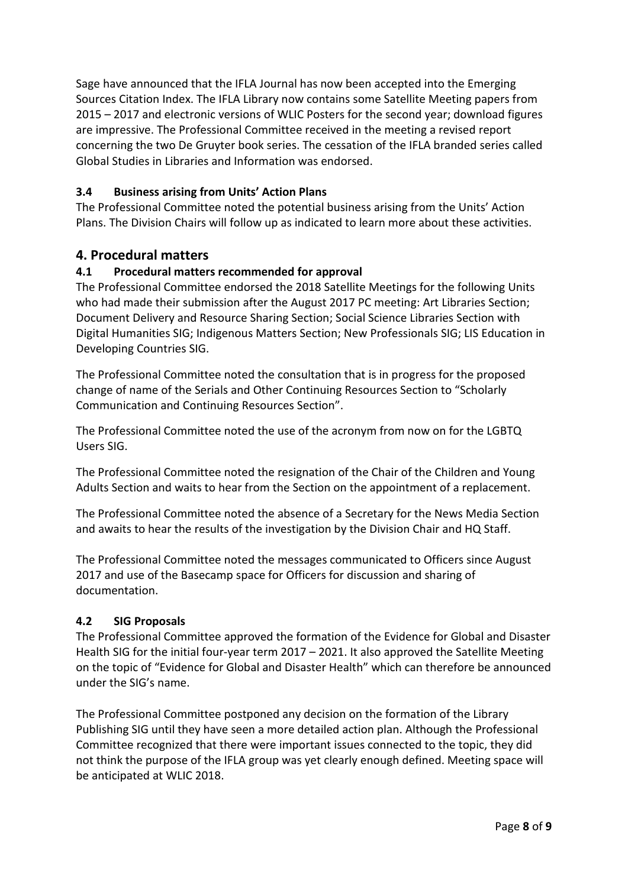Sage have announced that the IFLA Journal has now been accepted into the Emerging Sources Citation Index. The IFLA Library now contains some Satellite Meeting papers from 2015 – 2017 and electronic versions of WLIC Posters for the second year; download figures are impressive. The Professional Committee received in the meeting a revised report concerning the two De Gruyter book series. The cessation of the IFLA branded series called Global Studies in Libraries and Information was endorsed.

### **3.4 Business arising from Units' Action Plans**

The Professional Committee noted the potential business arising from the Units' Action Plans. The Division Chairs will follow up as indicated to learn more about these activities.

### **4. Procedural matters**

#### **4.1 Procedural matters recommended for approval**

The Professional Committee endorsed the 2018 Satellite Meetings for the following Units who had made their submission after the August 2017 PC meeting: Art Libraries Section; Document Delivery and Resource Sharing Section; Social Science Libraries Section with Digital Humanities SIG; Indigenous Matters Section; New Professionals SIG; LIS Education in Developing Countries SIG.

The Professional Committee noted the consultation that is in progress for the proposed change of name of the Serials and Other Continuing Resources Section to "Scholarly Communication and Continuing Resources Section".

The Professional Committee noted the use of the acronym from now on for the LGBTQ Users SIG.

The Professional Committee noted the resignation of the Chair of the Children and Young Adults Section and waits to hear from the Section on the appointment of a replacement.

The Professional Committee noted the absence of a Secretary for the News Media Section and awaits to hear the results of the investigation by the Division Chair and HQ Staff.

The Professional Committee noted the messages communicated to Officers since August 2017 and use of the Basecamp space for Officers for discussion and sharing of documentation.

#### **4.2 SIG Proposals**

The Professional Committee approved the formation of the Evidence for Global and Disaster Health SIG for the initial four-year term 2017 – 2021. It also approved the Satellite Meeting on the topic of "Evidence for Global and Disaster Health" which can therefore be announced under the SIG's name.

The Professional Committee postponed any decision on the formation of the Library Publishing SIG until they have seen a more detailed action plan. Although the Professional Committee recognized that there were important issues connected to the topic, they did not think the purpose of the IFLA group was yet clearly enough defined. Meeting space will be anticipated at WLIC 2018.